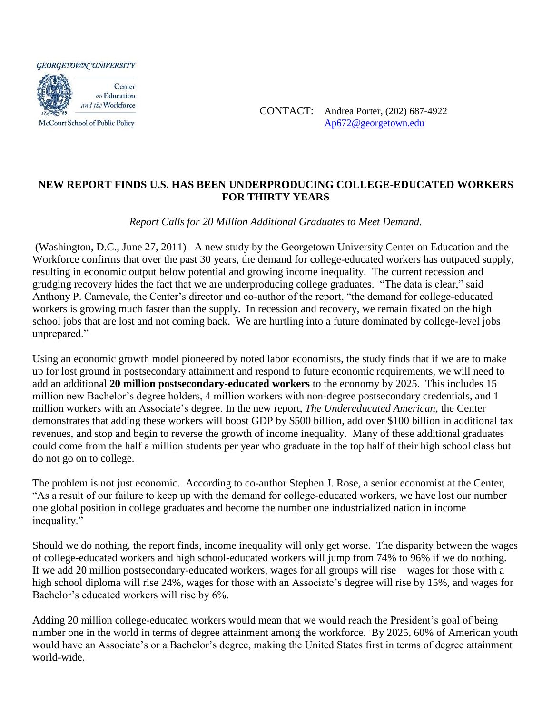

CONTACT: Andrea Porter, (202) 687-4922 [Ap672@georgetown.edu](mailto:Ap672@georgetown.edu)

## **NEW REPORT FINDS U.S. HAS BEEN UNDERPRODUCING COLLEGE-EDUCATED WORKERS FOR THIRTY YEARS**

*Report Calls for 20 Million Additional Graduates to Meet Demand.*

(Washington, D.C., June 27, 2011) –A new study by the Georgetown University Center on Education and the Workforce confirms that over the past 30 years, the demand for college-educated workers has outpaced supply, resulting in economic output below potential and growing income inequality. The current recession and grudging recovery hides the fact that we are underproducing college graduates. "The data is clear," said Anthony P. Carnevale, the Center's director and co-author of the report, "the demand for college-educated workers is growing much faster than the supply. In recession and recovery, we remain fixated on the high school jobs that are lost and not coming back. We are hurtling into a future dominated by college-level jobs unprepared."

Using an economic growth model pioneered by noted labor economists, the study finds that if we are to make up for lost ground in postsecondary attainment and respond to future economic requirements, we will need to add an additional **20 million postsecondary-educated workers** to the economy by 2025. This includes 15 million new Bachelor's degree holders, 4 million workers with non-degree postsecondary credentials, and 1 million workers with an Associate's degree. In the new report, *The Undereducated American,* the Center demonstrates that adding these workers will boost GDP by \$500 billion, add over \$100 billion in additional tax revenues, and stop and begin to reverse the growth of income inequality. Many of these additional graduates could come from the half a million students per year who graduate in the top half of their high school class but do not go on to college.

The problem is not just economic. According to co-author Stephen J. Rose, a senior economist at the Center, "As a result of our failure to keep up with the demand for college-educated workers, we have lost our number one global position in college graduates and become the number one industrialized nation in income inequality."

Should we do nothing, the report finds, income inequality will only get worse. The disparity between the wages of college-educated workers and high school-educated workers will jump from 74% to 96% if we do nothing. If we add 20 million postsecondary-educated workers, wages for all groups will rise—wages for those with a high school diploma will rise 24%, wages for those with an Associate's degree will rise by 15%, and wages for Bachelor's educated workers will rise by 6%.

Adding 20 million college-educated workers would mean that we would reach the President's goal of being number one in the world in terms of degree attainment among the workforce. By 2025, 60% of American youth would have an Associate's or a Bachelor's degree, making the United States first in terms of degree attainment world-wide.